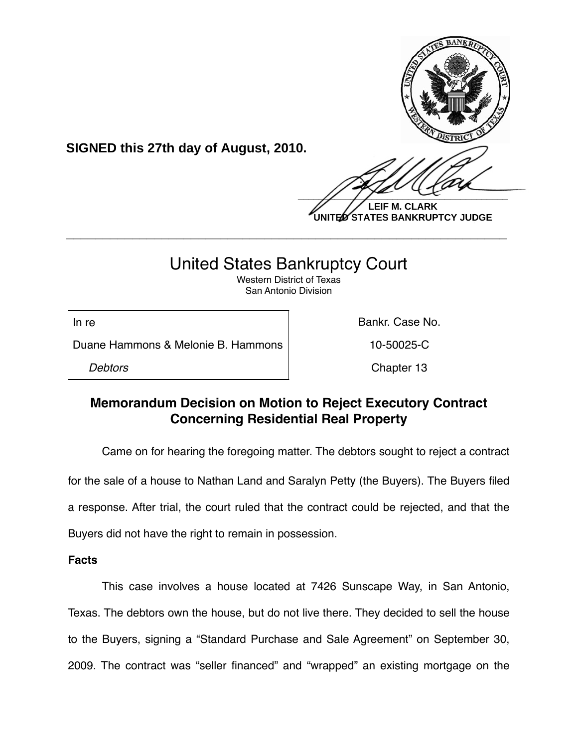

**LEIF M. CLARK UNITED STATES BANKRUPTCY JUDGE**

# United States Bankruptcy Court

**\_\_\_\_\_\_\_\_\_\_\_\_\_\_\_\_\_\_\_\_\_\_\_\_\_\_\_\_\_\_\_\_\_\_\_\_\_\_\_\_\_\_\_\_\_\_\_\_\_\_\_\_\_\_\_\_\_\_\_\_**

Western District of Texas San Antonio Division

Duane Hammons & Melonie B. Hammons 10-50025-C

**SIGNED this 27th day of August, 2010.**

In re **Bankr. Case No. In the Bankr. Case No.** 

**Debtors** Chapter 13

## **Memorandum Decision on Motion to Reject Executory Contract Concerning Residential Real Property**

Came on for hearing the foregoing matter. The debtors sought to reject a contract for the sale of a house to Nathan Land and Saralyn Petty (the Buyers). The Buyers filed a response. After trial, the court ruled that the contract could be rejected, and that the Buyers did not have the right to remain in possession.

## **Facts**

This case involves a house located at 7426 Sunscape Way, in San Antonio, Texas. The debtors own the house, but do not live there. They decided to sell the house to the Buyers, signing a "Standard Purchase and Sale Agreement" on September 30, 2009. The contract was "seller financed" and "wrapped" an existing mortgage on the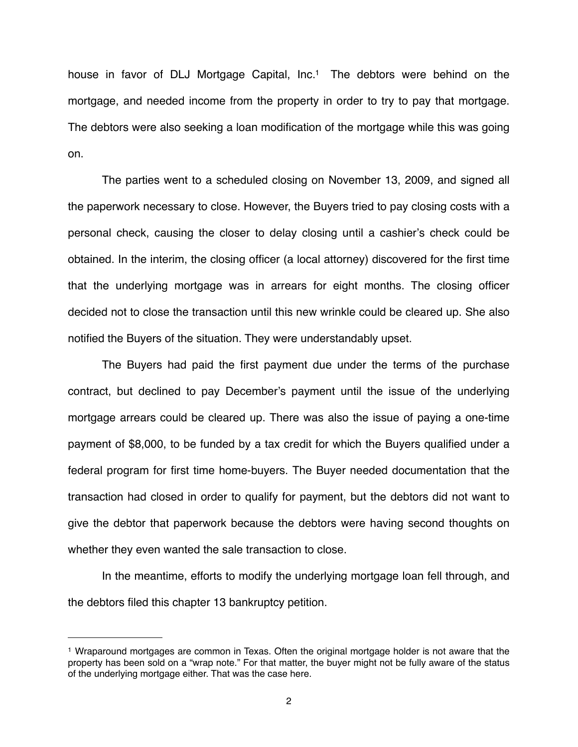house in favor of DLJ Mortgage Capital, Inc.<sup>1</sup> The debtors were behind on the mortgage, and needed income from the property in order to try to pay that mortgage. The debtors were also seeking a loan modification of the mortgage while this was going on.

The parties went to a scheduled closing on November 13, 2009, and signed all the paperwork necessary to close. However, the Buyers tried to pay closing costs with a personal check, causing the closer to delay closing until a cashier's check could be obtained. In the interim, the closing officer (a local attorney) discovered for the first time that the underlying mortgage was in arrears for eight months. The closing officer decided not to close the transaction until this new wrinkle could be cleared up. She also notified the Buyers of the situation. They were understandably upset.

The Buyers had paid the first payment due under the terms of the purchase contract, but declined to pay December's payment until the issue of the underlying mortgage arrears could be cleared up. There was also the issue of paying a one-time payment of \$8,000, to be funded by a tax credit for which the Buyers qualified under a federal program for first time home-buyers. The Buyer needed documentation that the transaction had closed in order to qualify for payment, but the debtors did not want to give the debtor that paperwork because the debtors were having second thoughts on whether they even wanted the sale transaction to close.

In the meantime, efforts to modify the underlying mortgage loan fell through, and the debtors filed this chapter 13 bankruptcy petition.

<span id="page-1-0"></span><sup>1</sup> Wraparound mortgages are common in Texas. Often the original mortgage holder is not aware that the property has been sold on a "wrap note." For that matter, the buyer might not be fully aware of the status of the underlying mortgage either. That was the case here.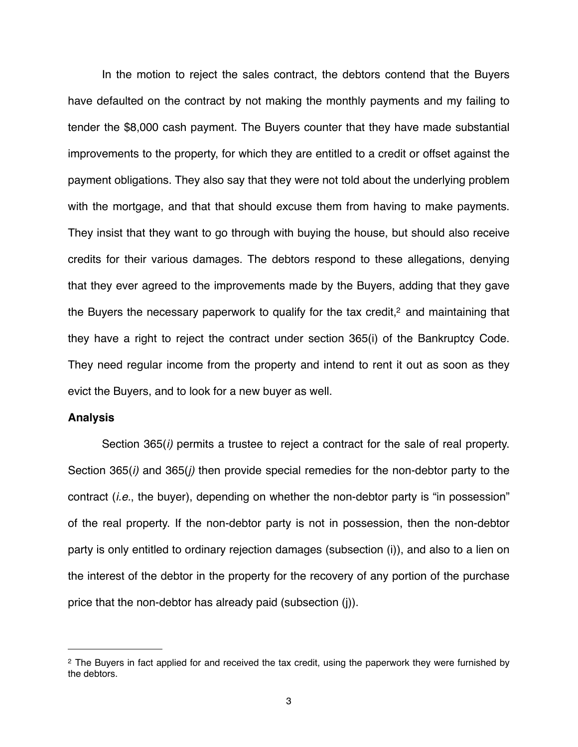In the motion to reject the sales contract, the debtors contend that the Buyers have defaulted on the contract by not making the monthly payments and my failing to tender the \$8,000 cash payment. The Buyers counter that they have made substantial improvements to the property, for which they are entitled to a credit or offset against the payment obligations. They also say that they were not told about the underlying problem with the mortgage, and that that should excuse them from having to make payments. They insist that they want to go through with buying the house, but should also receive credits for their various damages. The debtors respond to these allegations, denying that they ever agreed to the improvements made by the Buyers, adding that they gave the Buyers the necessary paperwork to qualify for the tax credit, $2$  and maintaining that they have a right to reject the contract under section 365(i) of the Bankruptcy Code. They need regular income from the property and intend to rent it out as soon as they evict the Buyers, and to look for a new buyer as well.

### **Analysis**

Section 365(*i)* permits a trustee to reject a contract for the sale of real property. Section 365(*i)* and 365(*j)* then provide special remedies for the non-debtor party to the contract (*i.e.*, the buyer), depending on whether the non-debtor party is "in possession" of the real property. If the non-debtor party is not in possession, then the non-debtor party is only entitled to ordinary rejection damages (subsection (i)), and also to a lien on the interest of the debtor in the property for the recovery of any portion of the purchase price that the non-debtor has already paid (subsection (j)).

<span id="page-2-0"></span><sup>&</sup>lt;sup>2</sup> The Buyers in fact applied for and received the tax credit, using the paperwork they were furnished by the debtors.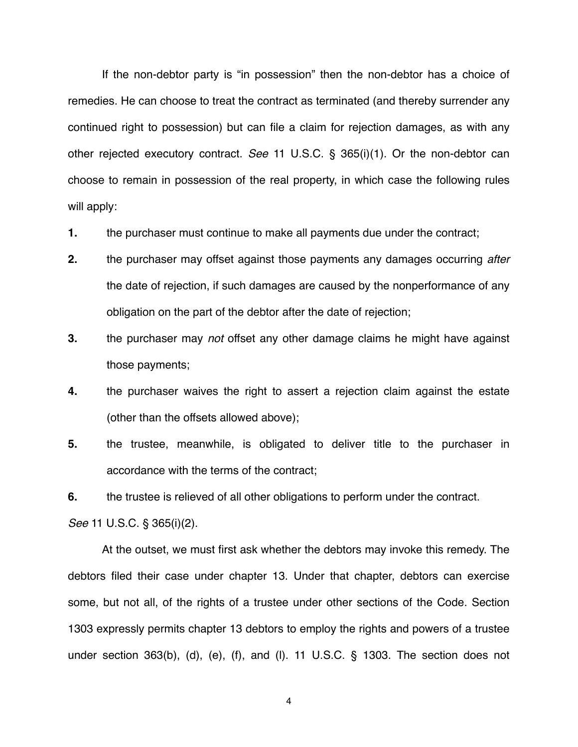If the non-debtor party is "in possession" then the non-debtor has a choice of remedies. He can choose to treat the contract as terminated (and thereby surrender any continued right to possession) but can file a claim for rejection damages, as with any other rejected executory contract. *See* 11 U.S.C. § 365(i)(1). Or the non-debtor can choose to remain in possession of the real property, in which case the following rules will apply:

- **1.** the purchaser must continue to make all payments due under the contract;
- **2.** the purchaser may offset against those payments any damages occurring *after* the date of rejection, if such damages are caused by the nonperformance of any obligation on the part of the debtor after the date of rejection;
- **3.** the purchaser may *not* offset any other damage claims he might have against those payments;
- **4.** the purchaser waives the right to assert a rejection claim against the estate (other than the offsets allowed above);
- **5.** the trustee, meanwhile, is obligated to deliver title to the purchaser in accordance with the terms of the contract;

**6.** the trustee is relieved of all other obligations to perform under the contract.

*See* 11 U.S.C. § 365(i)(2).

At the outset, we must first ask whether the debtors may invoke this remedy. The debtors filed their case under chapter 13. Under that chapter, debtors can exercise some, but not all, of the rights of a trustee under other sections of the Code. Section 1303 expressly permits chapter 13 debtors to employ the rights and powers of a trustee under section 363(b), (d), (e), (f), and (l). 11 U.S.C. § 1303. The section does not

4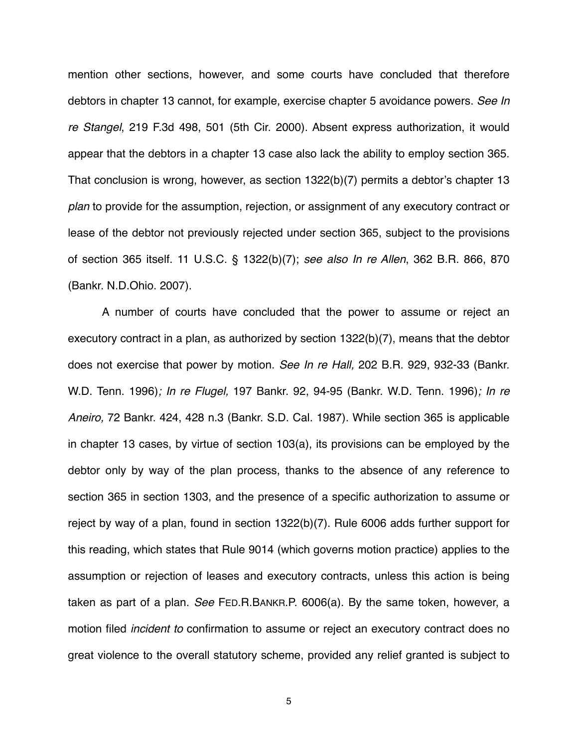mention other sections, however, and some courts have concluded that therefore debtors in chapter 13 cannot, for example, exercise chapter 5 avoidance powers. *See In re Stangel*, 219 F.3d 498, 501 (5th Cir. 2000). Absent express authorization, it would appear that the debtors in a chapter 13 case also lack the ability to employ section 365. That conclusion is wrong, however, as section 1322(b)(7) permits a debtor's chapter 13 *plan* to provide for the assumption, rejection, or assignment of any executory contract or lease of the debtor not previously rejected under section 365, subject to the provisions of section 365 itself. 11 U.S.C. § 1322(b)(7); *see also In re Allen*, 362 B.R. 866, 870 (Bankr. N.D.Ohio. 2007).

A number of courts have concluded that the power to assume or reject an executory contract in a plan, as authorized by section 1322(b)(7), means that the debtor does not exercise that power by motion. *See In re Hall,* 202 B.R. 929, 932-33 (Bankr. W.D. Tenn. 1996)*; In re Flugel,* 197 Bankr. 92, 94-95 (Bankr. W.D. Tenn. 1996)*; In re Aneiro,* 72 Bankr. 424, 428 n.3 (Bankr. S.D. Cal. 1987)*.* While section 365 is applicable in chapter 13 cases, by virtue of section 103(a), its provisions can be employed by the debtor only by way of the plan process, thanks to the absence of any reference to section 365 in section 1303, and the presence of a specific authorization to assume or reject by way of a plan, found in section 1322(b)(7). Rule 6006 adds further support for this reading, which states that Rule 9014 (which governs motion practice) applies to the assumption or rejection of leases and executory contracts, unless this action is being taken as part of a plan. *See* FED.R.BANKR.P. 6006(a). By the same token, however, a motion filed *incident to* confirmation to assume or reject an executory contract does no great violence to the overall statutory scheme, provided any relief granted is subject to

5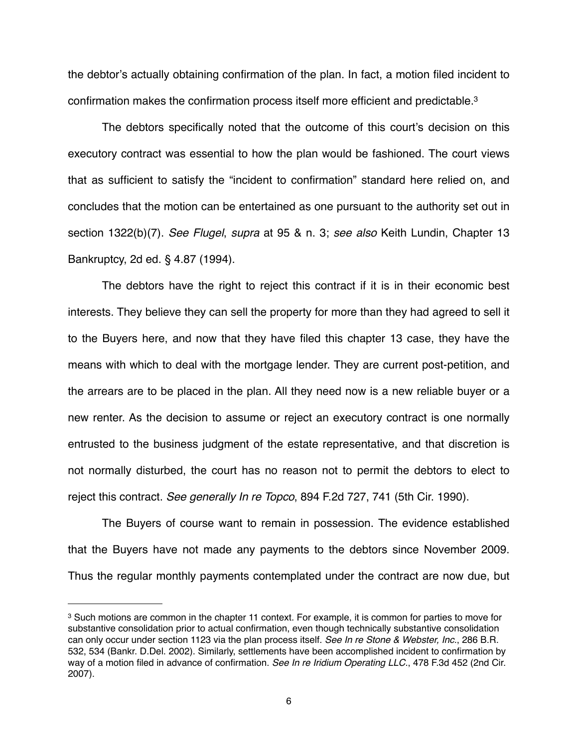the debtor's actually obtaining confirmation of the plan. In fact, a motion filed incident to confirmation makes the confirmation process itself more efficient and predictable[.3](#page-5-0)

The debtors specifically noted that the outcome of this court's decision on this executory contract was essential to how the plan would be fashioned. The court views that as sufficient to satisfy the "incident to confirmation" standard here relied on, and concludes that the motion can be entertained as one pursuant to the authority set out in section 1322(b)(7). *See Flugel*, *supra* at 95 & n. 3; *see also* Keith Lundin, Chapter 13 Bankruptcy, 2d ed. § 4.87 (1994).

The debtors have the right to reject this contract if it is in their economic best interests. They believe they can sell the property for more than they had agreed to sell it to the Buyers here, and now that they have filed this chapter 13 case, they have the means with which to deal with the mortgage lender. They are current post-petition, and the arrears are to be placed in the plan. All they need now is a new reliable buyer or a new renter. As the decision to assume or reject an executory contract is one normally entrusted to the business judgment of the estate representative, and that discretion is not normally disturbed, the court has no reason not to permit the debtors to elect to reject this contract. *See generally In re Topco*, 894 F.2d 727, 741 (5th Cir. 1990).

The Buyers of course want to remain in possession. The evidence established that the Buyers have not made any payments to the debtors since November 2009. Thus the regular monthly payments contemplated under the contract are now due, but

<span id="page-5-0"></span><sup>3</sup> Such motions are common in the chapter 11 context. For example, it is common for parties to move for substantive consolidation prior to actual confirmation, even though technically substantive consolidation can only occur under section 1123 via the plan process itself. *See In re Stone & Webster, Inc.*, 286 B.R. 532, 534 (Bankr. D.Del. 2002). Similarly, settlements have been accomplished incident to confirmation by way of a motion filed in advance of confirmation. *See In re Iridium Operating LLC.*, 478 F.3d 452 (2nd Cir. 2007).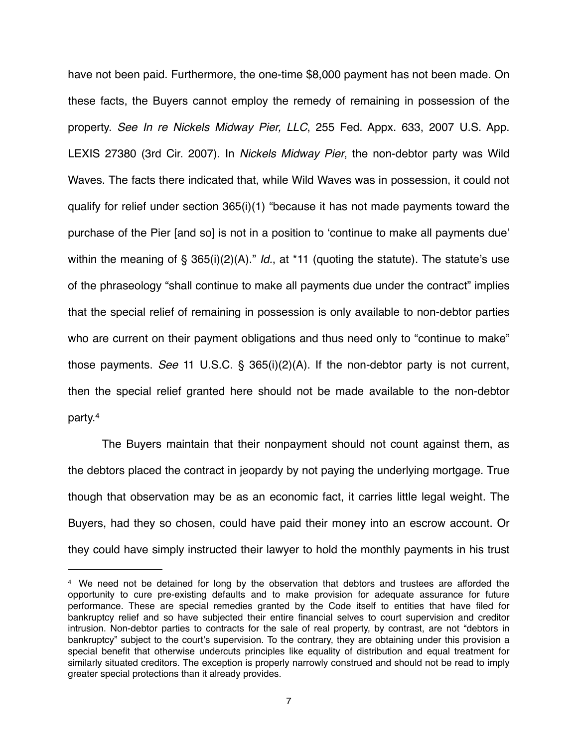have not been paid. Furthermore, the one-time \$8,000 payment has not been made. On these facts, the Buyers cannot employ the remedy of remaining in possession of the property. *See In re Nickels Midway Pier, LLC*, 255 Fed. Appx. 633, 2007 U.S. App. LEXIS 27380 (3rd Cir. 2007). In *Nickels Midway Pier*, the non-debtor party was Wild Waves. The facts there indicated that, while Wild Waves was in possession, it could not qualify for relief under section 365(i)(1) "because it has not made payments toward the purchase of the Pier [and so] is not in a position to ʻcontinue to make all payments due' within the meaning of § 365(i)(2)(A)." *Id.*, at \*11 (quoting the statute). The statute's use of the phraseology "shall continue to make all payments due under the contract" implies that the special relief of remaining in possession is only available to non-debtor parties who are current on their payment obligations and thus need only to "continue to make" those payments. *See* 11 U.S.C. § 365(i)(2)(A). If the non-debtor party is not current, then the special relief granted here should not be made available to the non-debtor party[.4](#page-6-0)

The Buyers maintain that their nonpayment should not count against them, as the debtors placed the contract in jeopardy by not paying the underlying mortgage. True though that observation may be as an economic fact, it carries little legal weight. The Buyers, had they so chosen, could have paid their money into an escrow account. Or they could have simply instructed their lawyer to hold the monthly payments in his trust

<span id="page-6-0"></span><sup>4</sup> We need not be detained for long by the observation that debtors and trustees are afforded the opportunity to cure pre-existing defaults and to make provision for adequate assurance for future performance. These are special remedies granted by the Code itself to entities that have filed for bankruptcy relief and so have subjected their entire financial selves to court supervision and creditor intrusion. Non-debtor parties to contracts for the sale of real property, by contrast, are not "debtors in bankruptcy" subject to the court's supervision. To the contrary, they are obtaining under this provision a special benefit that otherwise undercuts principles like equality of distribution and equal treatment for similarly situated creditors. The exception is properly narrowly construed and should not be read to imply greater special protections than it already provides.